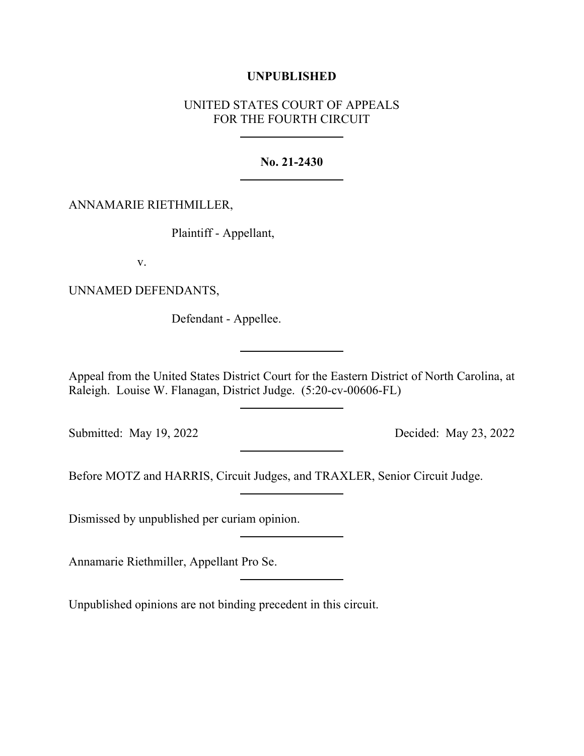# **UNPUBLISHED**

# UNITED STATES COURT OF APPEALS FOR THE FOURTH CIRCUIT

## **No. 21-2430**

## ANNAMARIE RIETHMILLER,

Plaintiff - Appellant,

v.

UNNAMED DEFENDANTS,

Defendant - Appellee.

Appeal from the United States District Court for the Eastern District of North Carolina, at Raleigh. Louise W. Flanagan, District Judge. (5:20-cv-00606-FL)

Submitted: May 19, 2022 Decided: May 23, 2022

Before MOTZ and HARRIS, Circuit Judges, and TRAXLER, Senior Circuit Judge.

Dismissed by unpublished per curiam opinion.

Annamarie Riethmiller, Appellant Pro Se.

Unpublished opinions are not binding precedent in this circuit.